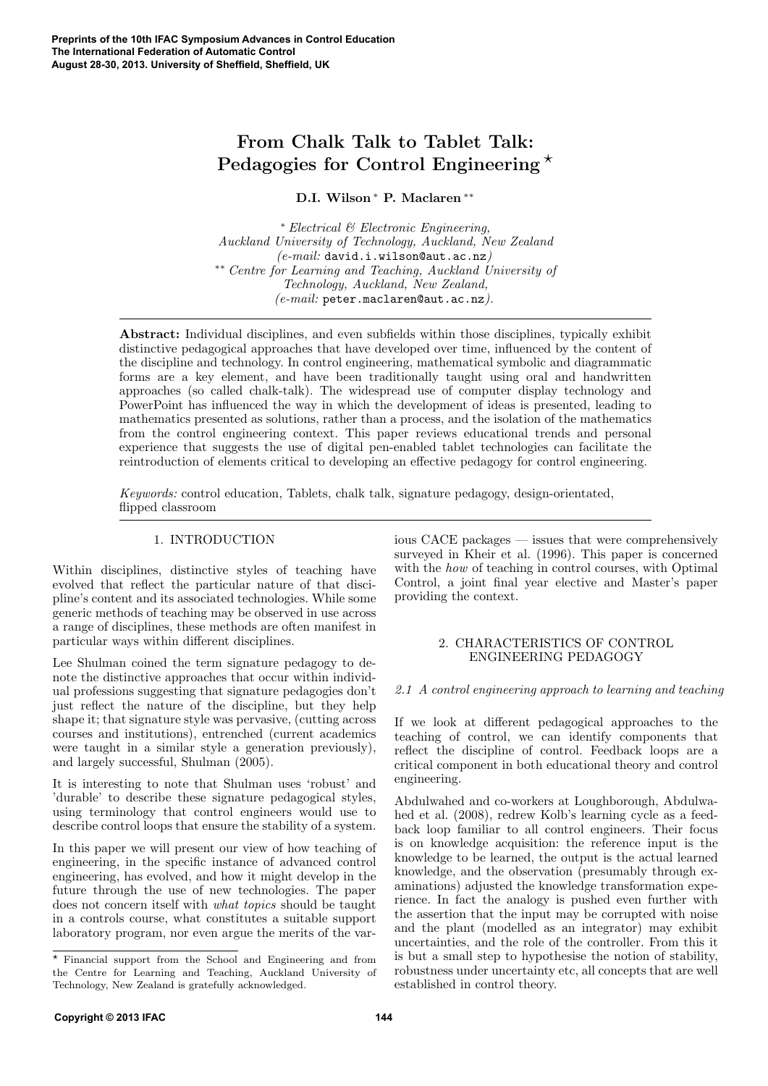# **From Chalk Talk to Tablet Talk: Pedagogies for Control Engineering** *⋆*

**D.I. Wilson** *<sup>∗</sup>* **P. Maclaren** *∗∗*

*<sup>∗</sup> Electrical & Electronic Engineering, Auckland University of Technology, Auckland, New Zealand (e-mail:* david.i.wilson@aut.ac.nz*) ∗∗ Centre for Learning and Teaching, Auckland University of Technology, Auckland, New Zealand, (e-mail:* peter.maclaren@aut.ac.nz*).*

**Abstract:** Individual disciplines, and even subfields within those disciplines, typically exhibit distinctive pedagogical approaches that have developed over time, influenced by the content of the discipline and technology. In control engineering, mathematical symbolic and diagrammatic forms are a key element, and have been traditionally taught using oral and handwritten approaches (so called chalk-talk). The widespread use of computer display technology and PowerPoint has influenced the way in which the development of ideas is presented, leading to mathematics presented as solutions, rather than a process, and the isolation of the mathematics from the control engineering context. This paper reviews educational trends and personal experience that suggests the use of digital pen-enabled tablet technologies can facilitate the reintroduction of elements critical to developing an effective pedagogy for control engineering.

*Keywords:* control education, Tablets, chalk talk, signature pedagogy, design-orientated, flipped classroom

## 1. INTRODUCTION

Within disciplines, distinctive styles of teaching have evolved that reflect the particular nature of that discipline's content and its associated technologies. While some generic methods of teaching may be observed in use across a range of disciplines, these methods are often manifest in particular ways within different disciplines.

Lee Shulman coined the term signature pedagogy to denote the distinctive approaches that occur within individual professions suggesting that signature pedagogies don't just reflect the nature of the discipline, but they help shape it; that signature style was pervasive, (cutting across courses and institutions), entrenched (current academics were taught in a similar style a generation previously), and largely successful, Shulman (2005).

It is interesting to note that Shulman uses 'robust' and 'durable' to describe these signature pedagogical styles, using terminology that control engineers would use to describe control loops that ensure the stability of a system.

In this paper we will present our view of how teaching of engineering, in the specific instance of advanced control engineering, has evolved, and how it might develop in the future through the use of new technologies. The paper does not concern itself with *what topics* should be taught in a controls course, what constitutes a suitable support laboratory program, nor even argue the merits of the various CACE packages — issues that were comprehensively surveyed in Kheir et al. (1996). This paper is concerned with the *how* of teaching in control courses, with Optimal Control, a joint final year elective and Master's paper providing the context.

## 2. CHARACTERISTICS OF CONTROL ENGINEERING PEDAGOGY

#### *2.1 A control engineering approach to learning and teaching*

If we look at different pedagogical approaches to the teaching of control, we can identify components that reflect the discipline of control. Feedback loops are a critical component in both educational theory and control engineering.

Abdulwahed and co-workers at Loughborough, Abdulwahed et al. (2008), redrew Kolb's learning cycle as a feedback loop familiar to all control engineers. Their focus is on knowledge acquisition: the reference input is the knowledge to be learned, the output is the actual learned knowledge, and the observation (presumably through examinations) adjusted the knowledge transformation experience. In fact the analogy is pushed even further with the assertion that the input may be corrupted with noise and the plant (modelled as an integrator) may exhibit uncertainties, and the role of the controller. From this it is but a small step to hypothesise the notion of stability, robustness under uncertainty etc, all concepts that are well established in control theory.

*<sup>⋆</sup>* Financial support from the School and Engineering and from the Centre for Learning and Teaching, Auckland University of Technology, New Zealand is gratefully acknowledged.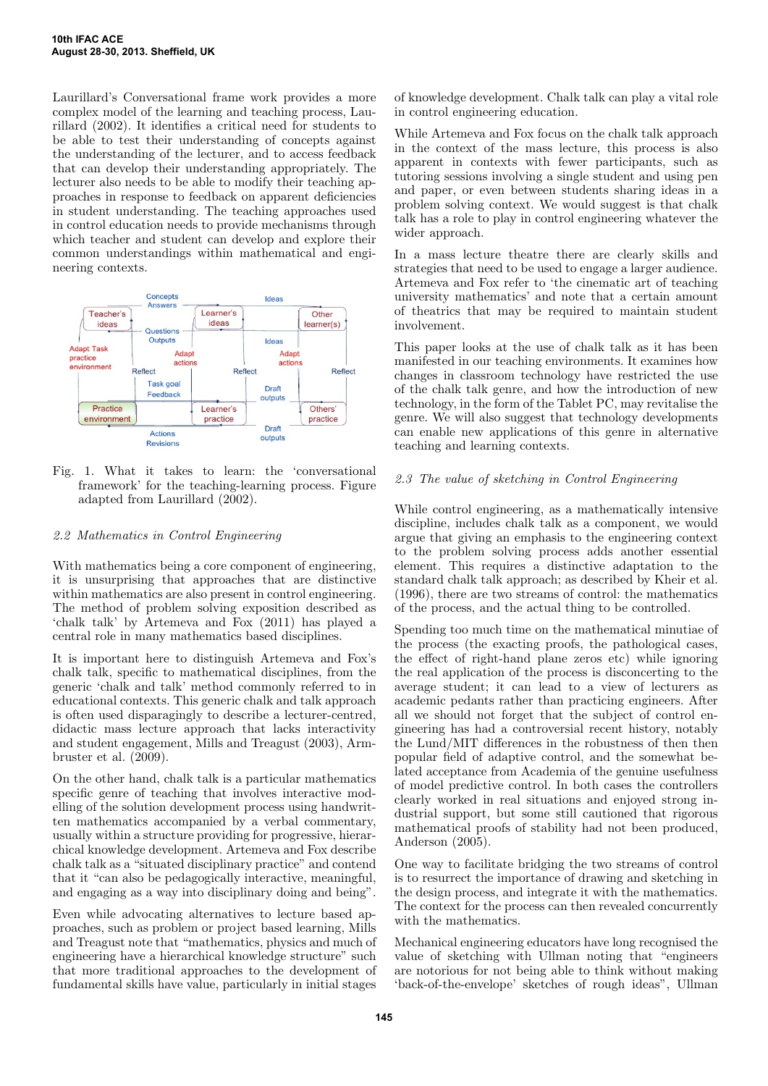Laurillard's Conversational frame work provides a more complex model of the learning and teaching process, Laurillard (2002). It identifies a critical need for students to be able to test their understanding of concepts against the understanding of the lecturer, and to access feedback that can develop their understanding appropriately. The lecturer also needs to be able to modify their teaching approaches in response to feedback on apparent deficiencies in student understanding. The teaching approaches used in control education needs to provide mechanisms through which teacher and student can develop and explore their common understandings within mathematical and engineering contexts.



Fig. 1. What it takes to learn: the 'conversational framework' for the teaching-learning process. Figure adapted from Laurillard (2002).

## *2.2 Mathematics in Control Engineering*

With mathematics being a core component of engineering, it is unsurprising that approaches that are distinctive within mathematics are also present in control engineering. The method of problem solving exposition described as 'chalk talk' by Artemeva and Fox (2011) has played a central role in many mathematics based disciplines.

It is important here to distinguish Artemeva and Fox's chalk talk, specific to mathematical disciplines, from the generic 'chalk and talk' method commonly referred to in educational contexts. This generic chalk and talk approach is often used disparagingly to describe a lecturer-centred, didactic mass lecture approach that lacks interactivity and student engagement, Mills and Treagust (2003), Armbruster et al. (2009).

On the other hand, chalk talk is a particular mathematics specific genre of teaching that involves interactive modelling of the solution development process using handwritten mathematics accompanied by a verbal commentary, usually within a structure providing for progressive, hierarchical knowledge development. Artemeva and Fox describe chalk talk as a "situated disciplinary practice" and contend that it "can also be pedagogically interactive, meaningful, and engaging as a way into disciplinary doing and being".

Even while advocating alternatives to lecture based approaches, such as problem or project based learning, Mills and Treagust note that "mathematics, physics and much of engineering have a hierarchical knowledge structure" such that more traditional approaches to the development of fundamental skills have value, particularly in initial stages

of knowledge development. Chalk talk can play a vital role in control engineering education.

While Artemeva and Fox focus on the chalk talk approach in the context of the mass lecture, this process is also apparent in contexts with fewer participants, such as tutoring sessions involving a single student and using pen and paper, or even between students sharing ideas in a problem solving context. We would suggest is that chalk talk has a role to play in control engineering whatever the wider approach.

In a mass lecture theatre there are clearly skills and strategies that need to be used to engage a larger audience. Artemeva and Fox refer to 'the cinematic art of teaching university mathematics' and note that a certain amount of theatrics that may be required to maintain student involvement.

This paper looks at the use of chalk talk as it has been manifested in our teaching environments. It examines how changes in classroom technology have restricted the use of the chalk talk genre, and how the introduction of new technology, in the form of the Tablet PC, may revitalise the genre. We will also suggest that technology developments can enable new applications of this genre in alternative teaching and learning contexts.

## *2.3 The value of sketching in Control Engineering*

While control engineering, as a mathematically intensive discipline, includes chalk talk as a component, we would argue that giving an emphasis to the engineering context to the problem solving process adds another essential element. This requires a distinctive adaptation to the standard chalk talk approach; as described by Kheir et al. (1996), there are two streams of control: the mathematics of the process, and the actual thing to be controlled.

Spending too much time on the mathematical minutiae of the process (the exacting proofs, the pathological cases, the effect of right-hand plane zeros etc) while ignoring the real application of the process is disconcerting to the average student; it can lead to a view of lecturers as academic pedants rather than practicing engineers. After all we should not forget that the subject of control engineering has had a controversial recent history, notably the Lund/MIT differences in the robustness of then then popular field of adaptive control, and the somewhat belated acceptance from Academia of the genuine usefulness of model predictive control. In both cases the controllers clearly worked in real situations and enjoyed strong industrial support, but some still cautioned that rigorous mathematical proofs of stability had not been produced, Anderson (2005).

One way to facilitate bridging the two streams of control is to resurrect the importance of drawing and sketching in the design process, and integrate it with the mathematics. The context for the process can then revealed concurrently with the mathematics.

Mechanical engineering educators have long recognised the value of sketching with Ullman noting that "engineers are notorious for not being able to think without making 'back-of-the-envelope' sketches of rough ideas", Ullman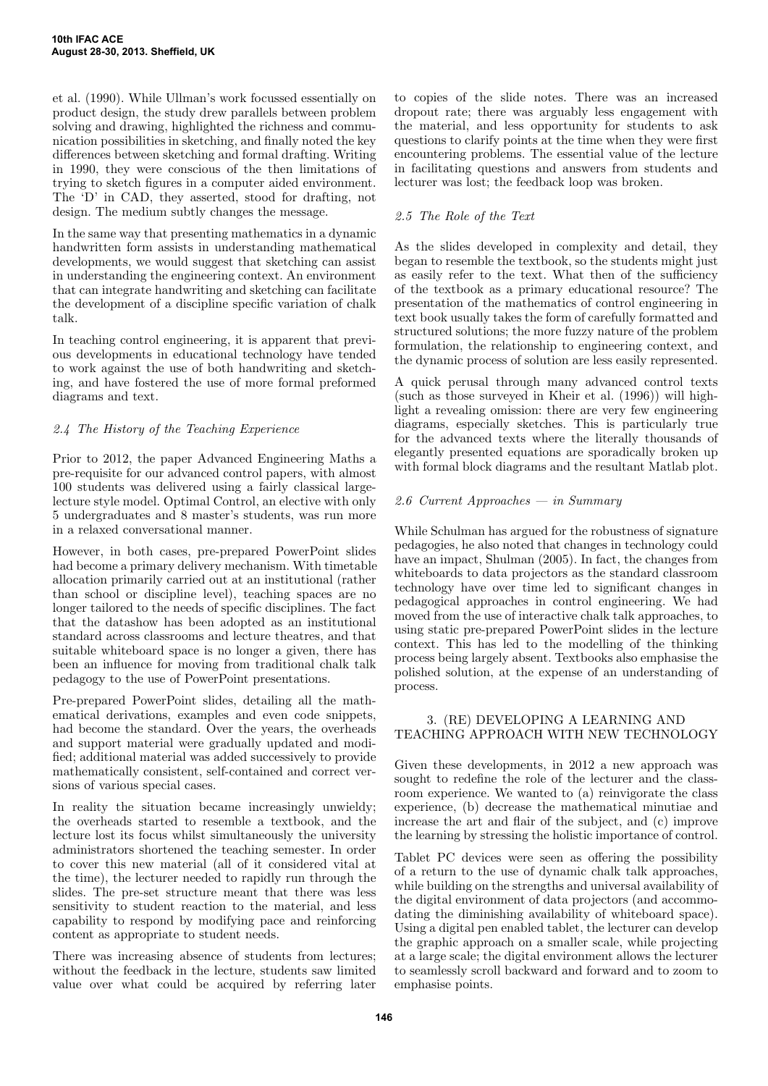et al. (1990). While Ullman's work focussed essentially on product design, the study drew parallels between problem solving and drawing, highlighted the richness and communication possibilities in sketching, and finally noted the key differences between sketching and formal drafting. Writing in 1990, they were conscious of the then limitations of trying to sketch figures in a computer aided environment. The 'D' in CAD, they asserted, stood for drafting, not design. The medium subtly changes the message.

In the same way that presenting mathematics in a dynamic handwritten form assists in understanding mathematical developments, we would suggest that sketching can assist in understanding the engineering context. An environment that can integrate handwriting and sketching can facilitate the development of a discipline specific variation of chalk talk.

In teaching control engineering, it is apparent that previous developments in educational technology have tended to work against the use of both handwriting and sketching, and have fostered the use of more formal preformed diagrams and text.

# *2.4 The History of the Teaching Experience*

Prior to 2012, the paper Advanced Engineering Maths a pre-requisite for our advanced control papers, with almost 100 students was delivered using a fairly classical largelecture style model. Optimal Control, an elective with only 5 undergraduates and 8 master's students, was run more in a relaxed conversational manner.

However, in both cases, pre-prepared PowerPoint slides had become a primary delivery mechanism. With timetable allocation primarily carried out at an institutional (rather than school or discipline level), teaching spaces are no longer tailored to the needs of specific disciplines. The fact that the datashow has been adopted as an institutional standard across classrooms and lecture theatres, and that suitable whiteboard space is no longer a given, there has been an influence for moving from traditional chalk talk pedagogy to the use of PowerPoint presentations.

Pre-prepared PowerPoint slides, detailing all the mathematical derivations, examples and even code snippets, had become the standard. Over the years, the overheads and support material were gradually updated and modified; additional material was added successively to provide mathematically consistent, self-contained and correct versions of various special cases.

In reality the situation became increasingly unwieldy; the overheads started to resemble a textbook, and the lecture lost its focus whilst simultaneously the university administrators shortened the teaching semester. In order to cover this new material (all of it considered vital at the time), the lecturer needed to rapidly run through the slides. The pre-set structure meant that there was less sensitivity to student reaction to the material, and less capability to respond by modifying pace and reinforcing content as appropriate to student needs.

There was increasing absence of students from lectures; without the feedback in the lecture, students saw limited value over what could be acquired by referring later to copies of the slide notes. There was an increased dropout rate; there was arguably less engagement with the material, and less opportunity for students to ask questions to clarify points at the time when they were first encountering problems. The essential value of the lecture in facilitating questions and answers from students and lecturer was lost; the feedback loop was broken.

# *2.5 The Role of the Text*

As the slides developed in complexity and detail, they began to resemble the textbook, so the students might just as easily refer to the text. What then of the sufficiency of the textbook as a primary educational resource? The presentation of the mathematics of control engineering in text book usually takes the form of carefully formatted and structured solutions; the more fuzzy nature of the problem formulation, the relationship to engineering context, and the dynamic process of solution are less easily represented.

A quick perusal through many advanced control texts (such as those surveyed in Kheir et al. (1996)) will highlight a revealing omission: there are very few engineering diagrams, especially sketches. This is particularly true for the advanced texts where the literally thousands of elegantly presented equations are sporadically broken up with formal block diagrams and the resultant Matlab plot.

# *2.6 Current Approaches — in Summary*

While Schulman has argued for the robustness of signature pedagogies, he also noted that changes in technology could have an impact, Shulman  $(2005)$ . In fact, the changes from whiteboards to data projectors as the standard classroom technology have over time led to significant changes in pedagogical approaches in control engineering. We had moved from the use of interactive chalk talk approaches, to using static pre-prepared PowerPoint slides in the lecture context. This has led to the modelling of the thinking process being largely absent. Textbooks also emphasise the polished solution, at the expense of an understanding of process.

# 3. (RE) DEVELOPING A LEARNING AND TEACHING APPROACH WITH NEW TECHNOLOGY

Given these developments, in 2012 a new approach was sought to redefine the role of the lecturer and the classroom experience. We wanted to (a) reinvigorate the class experience, (b) decrease the mathematical minutiae and increase the art and flair of the subject, and (c) improve the learning by stressing the holistic importance of control.

Tablet PC devices were seen as offering the possibility of a return to the use of dynamic chalk talk approaches, while building on the strengths and universal availability of the digital environment of data projectors (and accommodating the diminishing availability of whiteboard space). Using a digital pen enabled tablet, the lecturer can develop the graphic approach on a smaller scale, while projecting at a large scale; the digital environment allows the lecturer to seamlessly scroll backward and forward and to zoom to emphasise points.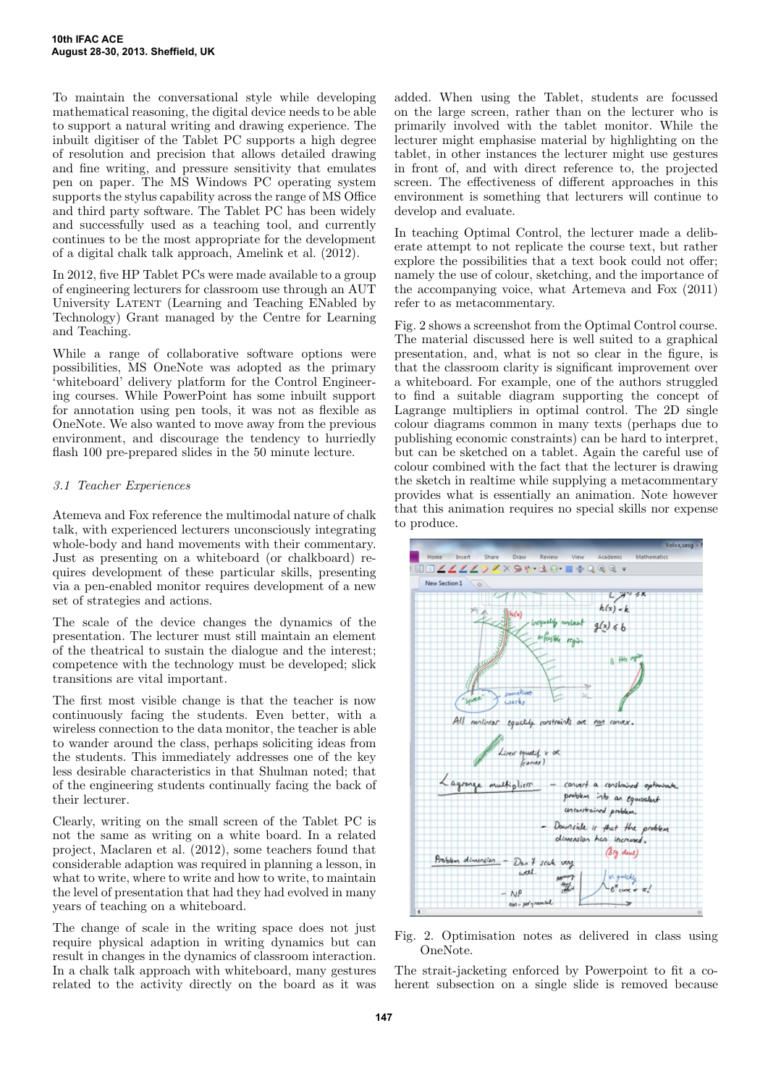To maintain the conversational style while developing mathematical reasoning, the digital device needs to be able to support a natural writing and drawing experience. The inbuilt digitiser of the Tablet PC supports a high degree of resolution and precision that allows detailed drawing and fine writing, and pressure sensitivity that emulates pen on paper. The MS Windows PC operating system supports the stylus capability across the range of MS Office and third party software. The Tablet PC has been widely and successfully used as a teaching tool, and currently continues to be the most appropriate for the development of a digital chalk talk approach, Amelink et al. (2012).

In 2012, five HP Tablet PCs were made available to a group of engineering lecturers for classroom use through an AUT University LATENT (Learning and Teaching ENabled by Technology) Grant managed by the Centre for Learning and Teaching.

While a range of collaborative software options were possibilities, MS OneNote was adopted as the primary 'whiteboard' delivery platform for the Control Engineering courses. While PowerPoint has some inbuilt support for annotation using pen tools, it was not as flexible as OneNote. We also wanted to move away from the previous environment, and discourage the tendency to hurriedly flash 100 pre-prepared slides in the 50 minute lecture.

## *3.1 Teacher Experiences*

Atemeva and Fox reference the multimodal nature of chalk talk, with experienced lecturers unconsciously integrating whole-body and hand movements with their commentary. Just as presenting on a whiteboard (or chalkboard) requires development of these particular skills, presenting via a pen-enabled monitor requires development of a new set of strategies and actions.

The scale of the device changes the dynamics of the presentation. The lecturer must still maintain an element of the theatrical to sustain the dialogue and the interest; competence with the technology must be developed; slick transitions are vital important.

The first most visible change is that the teacher is now continuously facing the students. Even better, with a wireless connection to the data monitor, the teacher is able to wander around the class, perhaps soliciting ideas from the students. This immediately addresses one of the key less desirable characteristics in that Shulman noted; that of the engineering students continually facing the back of their lecturer.

Clearly, writing on the small screen of the Tablet PC is not the same as writing on a white board. In a related project, Maclaren et al. (2012), some teachers found that considerable adaption was required in planning a lesson, in what to write, where to write and how to write, to maintain the level of presentation that had they had evolved in many years of teaching on a whiteboard.

The change of scale in the writing space does not just require physical adaption in writing dynamics but can result in changes in the dynamics of classroom interaction. In a chalk talk approach with whiteboard, many gestures related to the activity directly on the board as it was

added. When using the Tablet, students are focussed on the large screen, rather than on the lecturer who is primarily involved with the tablet monitor. While the lecturer might emphasise material by highlighting on the tablet, in other instances the lecturer might use gestures in front of, and with direct reference to, the projected screen. The effectiveness of different approaches in this environment is something that lecturers will continue to develop and evaluate.

In teaching Optimal Control, the lecturer made a deliberate attempt to not replicate the course text, but rather explore the possibilities that a text book could not offer; namely the use of colour, sketching, and the importance of the accompanying voice, what Artemeva and Fox (2011) refer to as metacommentary.

Fig. 2 shows a screenshot from the Optimal Control course. The material discussed here is well suited to a graphical presentation, and, what is not so clear in the figure, is that the classroom clarity is significant improvement over a whiteboard. For example, one of the authors struggled to find a suitable diagram supporting the concept of Lagrange multipliers in optimal control. The 2D single colour diagrams common in many texts (perhaps due to publishing economic constraints) can be hard to interpret, but can be sketched on a tablet. Again the careful use of colour combined with the fact that the lecturer is drawing the sketch in realtime while supplying a metacommentary provides what is essentially an animation. Note however that this animation requires no special skills nor expense to produce.



Fig. 2. Optimisation notes as delivered in class using OneNote.

The strait-jacketing enforced by Powerpoint to fit a coherent subsection on a single slide is removed because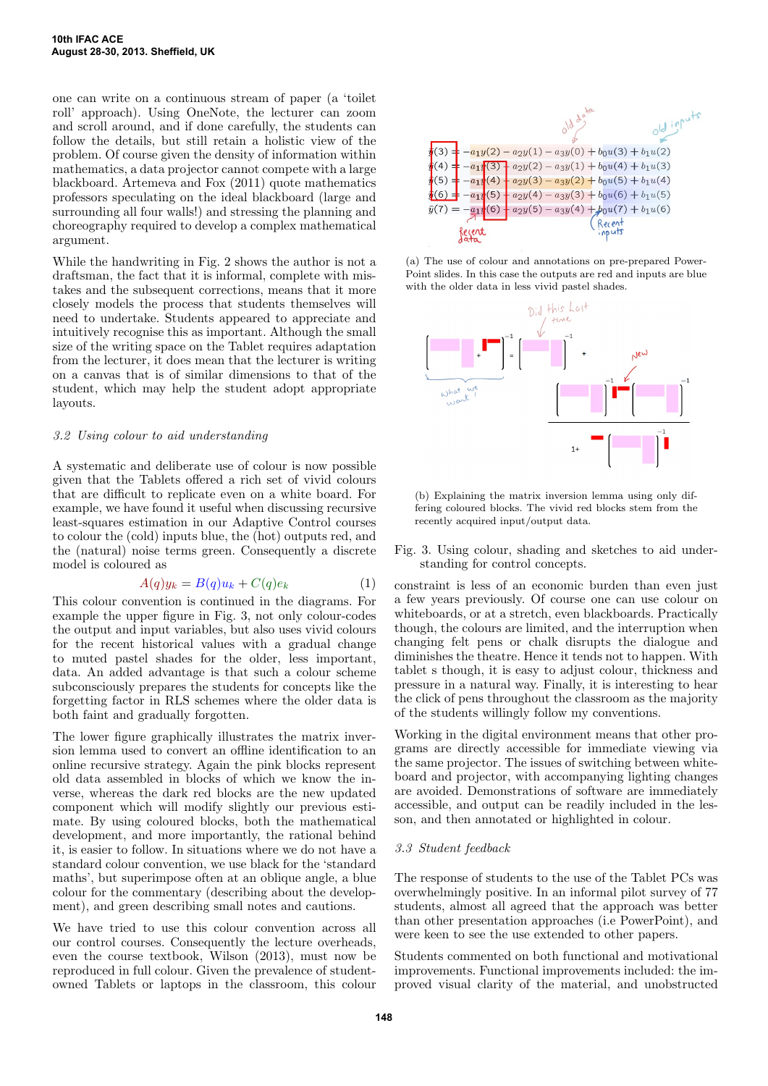one can write on a continuous stream of paper (a 'toilet roll' approach). Using OneNote, the lecturer can zoom and scroll around, and if done carefully, the students can follow the details, but still retain a holistic view of the problem. Of course given the density of information within mathematics, a data projector cannot compete with a large blackboard. Artemeva and Fox (2011) quote mathematics professors speculating on the ideal blackboard (large and surrounding all four walls!) and stressing the planning and choreography required to develop a complex mathematical argument.

While the handwriting in Fig. 2 shows the author is not a draftsman, the fact that it is informal, complete with mistakes and the subsequent corrections, means that it more closely models the process that students themselves will need to undertake. Students appeared to appreciate and intuitively recognise this as important. Although the small size of the writing space on the Tablet requires adaptation from the lecturer, it does mean that the lecturer is writing on a canvas that is of similar dimensions to that of the student, which may help the student adopt appropriate layouts.

#### *3.2 Using colour to aid understanding*

A systematic and deliberate use of colour is now possible given that the Tablets offered a rich set of vivid colours that are difficult to replicate even on a white board. For example, we have found it useful when discussing recursive least-squares estimation in our Adaptive Control courses to colour the (cold) inputs blue, the (hot) outputs red, and the (natural) noise terms green. Consequently a discrete model is coloured as

$$
A(q)y_k = B(q)u_k + C(q)e_k \tag{1}
$$

This colour convention is continued in the diagrams. For example the upper figure in Fig. 3, not only colour-codes the output and input variables, but also uses vivid colours for the recent historical values with a gradual change to muted pastel shades for the older, less important, data. An added advantage is that such a colour scheme subconsciously prepares the students for concepts like the forgetting factor in RLS schemes where the older data is both faint and gradually forgotten.

The lower figure graphically illustrates the matrix inversion lemma used to convert an offline identification to an online recursive strategy. Again the pink blocks represent old data assembled in blocks of which we know the inverse, whereas the dark red blocks are the new updated component which will modify slightly our previous estimate. By using coloured blocks, both the mathematical development, and more importantly, the rational behind it, is easier to follow. In situations where we do not have a standard colour convention, we use black for the 'standard maths', but superimpose often at an oblique angle, a blue colour for the commentary (describing about the development), and green describing small notes and cautions.

We have tried to use this colour convention across all our control courses. Consequently the lecture overheads, even the course textbook, Wilson (2013), must now be reproduced in full colour. Given the prevalence of studentowned Tablets or laptops in the classroom, this colour



(a) The use of colour and annotations on pre-prepared Power-Point slides. In this case the outputs are red and inputs are blue with the older data in less vivid pastel shades.



(b) Explaining the matrix inversion lemma using only differing coloured blocks. The vivid red blocks stem from the recently acquired input/output data.

Fig. 3. Using colour, shading and sketches to aid understanding for control concepts.

constraint is less of an economic burden than even just a few years previously. Of course one can use colour on whiteboards, or at a stretch, even blackboards. Practically though, the colours are limited, and the interruption when changing felt pens or chalk disrupts the dialogue and diminishes the theatre. Hence it tends not to happen. With tablet s though, it is easy to adjust colour, thickness and pressure in a natural way. Finally, it is interesting to hear the click of pens throughout the classroom as the majority of the students willingly follow my conventions.

Working in the digital environment means that other programs are directly accessible for immediate viewing via the same projector. The issues of switching between whiteboard and projector, with accompanying lighting changes are avoided. Demonstrations of software are immediately accessible, and output can be readily included in the lesson, and then annotated or highlighted in colour.

#### *3.3 Student feedback*

The response of students to the use of the Tablet PCs was overwhelmingly positive. In an informal pilot survey of 77 students, almost all agreed that the approach was better than other presentation approaches (i.e PowerPoint), and were keen to see the use extended to other papers.

Students commented on both functional and motivational improvements. Functional improvements included: the improved visual clarity of the material, and unobstructed